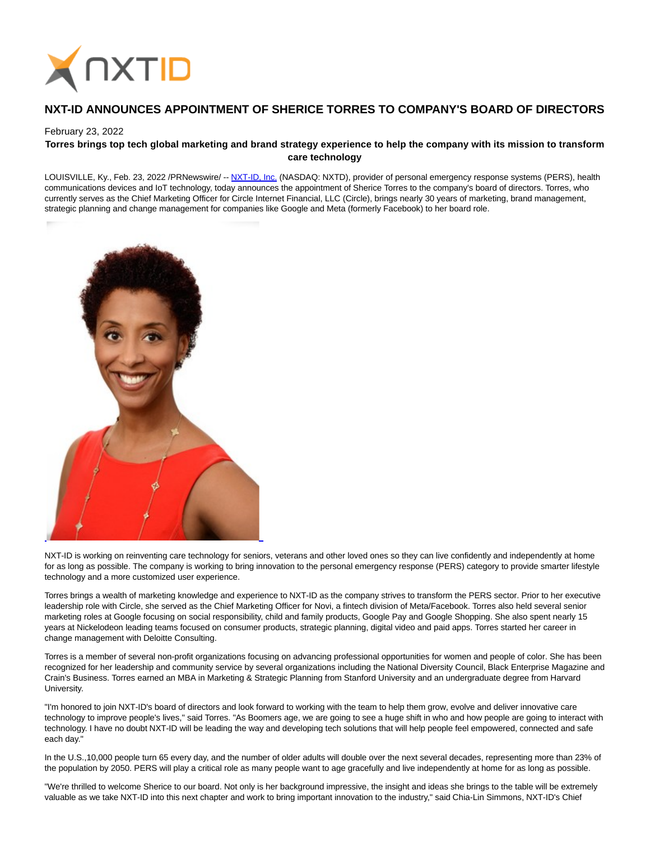

# **NXT-ID ANNOUNCES APPOINTMENT OF SHERICE TORRES TO COMPANY'S BOARD OF DIRECTORS**

### February 23, 2022

## **Torres brings top tech global marketing and brand strategy experience to help the company with its mission to transform care technology**

LOUISVILLE, Ky., Feb. 23, 2022 /PRNewswire/ -- [NXT-ID, Inc. \(](https://c212.net/c/link/?t=0&l=en&o=3452259-1&h=1234290109&u=http%3A%2F%2Fwww.nxt-id.com%2F&a=NXT-ID%2C+Inc.)NASDAQ: NXTD), provider of personal emergency response systems (PERS), health communications devices and IoT technology, today announces the appointment of Sherice Torres to the company's board of directors. Torres, who currently serves as the Chief Marketing Officer for Circle Internet Financial, LLC (Circle), brings nearly 30 years of marketing, brand management, strategic planning and change management for companies like Google and Meta (formerly Facebook) to her board role.



NXT-ID is working on reinventing care technology for seniors, veterans and other loved ones so they can live confidently and independently at home for as long as possible. The company is working to bring innovation to the personal emergency response (PERS) category to provide smarter lifestyle technology and a more customized user experience.

Torres brings a wealth of marketing knowledge and experience to NXT-ID as the company strives to transform the PERS sector. Prior to her executive leadership role with Circle, she served as the Chief Marketing Officer for Novi, a fintech division of Meta/Facebook. Torres also held several senior marketing roles at Google focusing on social responsibility, child and family products, Google Pay and Google Shopping. She also spent nearly 15 years at Nickelodeon leading teams focused on consumer products, strategic planning, digital video and paid apps. Torres started her career in change management with Deloitte Consulting.

Torres is a member of several non-profit organizations focusing on advancing professional opportunities for women and people of color. She has been recognized for her leadership and community service by several organizations including the National Diversity Council, Black Enterprise Magazine and Crain's Business. Torres earned an MBA in Marketing & Strategic Planning from Stanford University and an undergraduate degree from Harvard University.

"I'm honored to join NXT-ID's board of directors and look forward to working with the team to help them grow, evolve and deliver innovative care technology to improve people's lives," said Torres. "As Boomers age, we are going to see a huge shift in who and how people are going to interact with technology. I have no doubt NXT-ID will be leading the way and developing tech solutions that will help people feel empowered, connected and safe each day."

In the U.S.,10,000 people turn 65 every day, and the number of older adults will double over the next several decades, representing more than 23% of the population by 2050. PERS will play a critical role as many people want to age gracefully and live independently at home for as long as possible.

"We're thrilled to welcome Sherice to our board. Not only is her background impressive, the insight and ideas she brings to the table will be extremely valuable as we take NXT-ID into this next chapter and work to bring important innovation to the industry," said Chia-Lin Simmons, NXT-ID's Chief